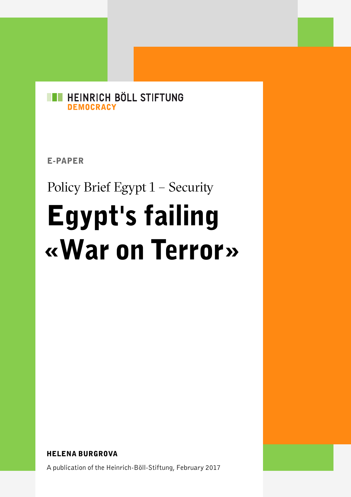

E-PAPER

Policy Brief Egypt 1 - Security

# Egypt's failing «War on Terror»

HELENA BURGROVA

A publication of the Heinrich-Böll-Stiftung, February 2017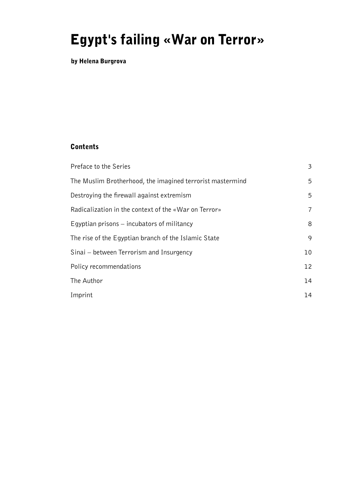# Egypt's failing «War on Terror»

by Helena Burgrova

#### Contents

| Preface to the Series                                     | 3  |
|-----------------------------------------------------------|----|
| The Muslim Brotherhood, the imagined terrorist mastermind | 5  |
| Destroying the firewall against extremism                 | 5  |
| Radicalization in the context of the «War on Terror»      | 7  |
| Egyptian prisons $-$ incubators of militancy              | 8  |
| The rise of the Egyptian branch of the Islamic State      | 9  |
| Sinai – between Terrorism and Insurgency                  | 10 |
| Policy recommendations                                    | 12 |
| The Author                                                | 14 |
| Imprint                                                   | 14 |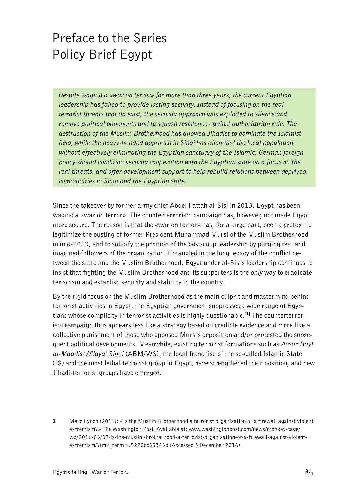# <span id="page-2-0"></span>Preface to the Series Policy Brief Egypt

*Despite waging a «war on terror» for more than three years, the current Egyptian leadership has failed to provide lasting security. Instead of focusing on the real terrorist threats that do exist, the security approach was exploited to silence and remove political opponents and to squash resistance against authoritarian rule. The destruction of the Muslim Brotherhood has allowed Jihadist to dominate the Islamist field, while the heavy-handed approach in Sinai has alienated the local population without effectively eliminating the Egyptian sanctuary of the Islamic. German foreign policy should condition security cooperation with the Egyptian state on a focus on the real threats, and offer development support to help rebuild relations between deprived communities in Sinai and the Egyptian state.*

Since the takeover by former army chief Abdel Fattah al-Sisi in 2013, Egypt has been waging a «war on terror». The counterterrorism campaign has, however, not made Egypt more secure. The reason is that the «war on terror» has, for a large part, been a pretext to legitimize the ousting of former President Muhammad Mursi of the Muslim Brotherhood in mid-2013, and to solidify the position of the post-coup leadership by purging real and imagined followers of the organization. Entangled in the long legacy of the conflict between the state and the Muslim Brotherhood, Egypt under al-Sisi's leadership continues to insist that fighting the Muslim Brotherhood and its supporters is the *only* way to eradicate terrorism and establish security and stability in the country.

By the rigid focus on the Muslim Brotherhood as the main culprit and mastermind behind terrorist activities in Egypt, the Egyptian government suppresses a wide range of Egyptians whose complicity in terrorist activities is highly questionable.**[1]** The counterterrorism campaign thus appears less like a strategy based on credible evidence and more like a collective punishment of those who opposed Mursi's deposition and/or protested the subsequent political developments. Meanwhile, existing terrorist formations such as *Ansar Bayt al-Maqdis/Wilayat Sinai* (ABM/WS), the local franchise of the so-called Islamic State (IS) and the most lethal terrorist group in Egypt, have strengthened their position, and new Jihadi-terrorist groups have emerged.

1 Marc Lynch (2016): «Is the Muslim Brotherhood a terrorist organization or a firewall against violent extremism?» The Washington Post. Available at: [www.washingtonpost.com/news/monkey-cage/](http://www.washingtonpost.com/news/monkey-cage/wp/2016/03/07/is-the-muslim-brotherhood-a-terrorist-organization-or-a-firewall-against-violent-extremism/?utm_term=.5222cc35343b) [wp/2016/03/07/is-the-muslim-brotherhood-a-terrorist-organization-or-a-firewall-against-violent](http://www.washingtonpost.com/news/monkey-cage/wp/2016/03/07/is-the-muslim-brotherhood-a-terrorist-organization-or-a-firewall-against-violent-extremism/?utm_term=.5222cc35343b)[extremism/?utm\\_term=.5222cc35343b](http://www.washingtonpost.com/news/monkey-cage/wp/2016/03/07/is-the-muslim-brotherhood-a-terrorist-organization-or-a-firewall-against-violent-extremism/?utm_term=.5222cc35343b) (Accessed 5 December 2016).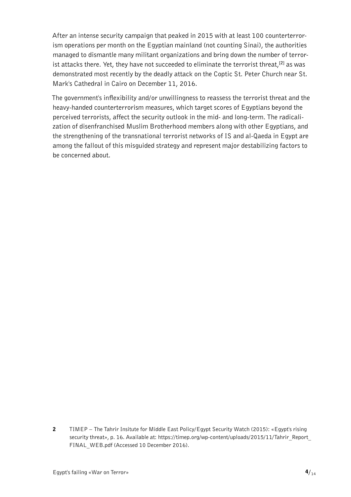After an intense security campaign that peaked in 2015 with at least 100 counterterrorism operations per month on the Egyptian mainland (not counting Sinai), the authorities managed to dismantle many militant organizations and bring down the number of terrorist attacks there. Yet, they have not succeeded to eliminate the terrorist threat,**[2]** as was demonstrated most recently by the deadly attack on the Coptic St. Peter Church near St. Mark's Cathedral in Cairo on December 11, 2016.

The government's inflexibility and/or unwillingness to reassess the terrorist threat and the heavy-handed counterterrorism measures, which target scores of Egyptians beyond the perceived terrorists, affect the security outlook in the mid- and long-term. The radicalization of disenfranchised Muslim Brotherhood members along with other Egyptians, and the strengthening of the transnational terrorist networks of IS and al-Qaeda in Egypt are among the fallout of this misguided strategy and represent major destabilizing factors to be concerned about.

2 TIMEP – The Tahrir Insitute for Middle East Policy/Egypt Security Watch (2015): «Egypt's rising security threat», p. 16. Available at: https://timep.org/wp-content/uploads/2015/11/Tahrir\_Report FINAL WEB.pdf (Accessed 10 December 2016).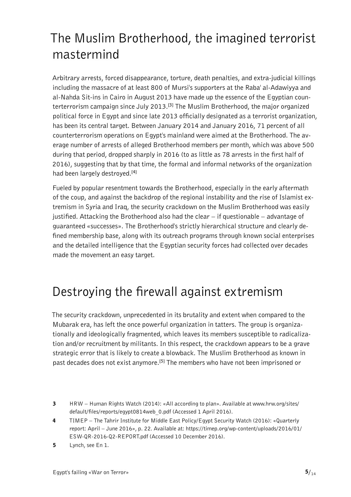# <span id="page-4-0"></span>The Muslim Brotherhood, the imagined terrorist mastermind

Arbitrary arrests, forced disappearance, torture, death penalties, and extra-judicial killings including the massacre of at least 800 of Mursi's supporters at the Raba' al-Adawiyya and al-Nahda Sit-ins in Cairo in August 2013 have made up the essence of the Egyptian counterterrorism campaign since July 2013.**[3]** The Muslim Brotherhood, the major organized political force in Egypt and since late 2013 officially designated as a terrorist organization, has been its central target. Between January 2014 and January 2016, 71 percent of all counterterrorism operations on Egypt's mainland were aimed at the Brotherhood. The average number of arrests of alleged Brotherhood members per month, which was above 500 during that period, dropped sharply in 2016 (to as little as 78 arrests in the first half of 2016), suggesting that by that time, the formal and informal networks of the organization had been largely destroyed.**[4]**

Fueled by popular resentment towards the Brotherhood, especially in the early aftermath of the coup, and against the backdrop of the regional instability and the rise of Islamist extremism in Syria and Iraq, the security crackdown on the Muslim Brotherhood was easily justified. Attacking the Brotherhood also had the clear – if questionable – advantage of guaranteed «successes». The Brotherhood's strictly hierarchical structure and clearly defined membership base, along with its outreach programs through known social enterprises and the detailed intelligence that the Egyptian security forces had collected over decades made the movement an easy target.

### Destroying the firewall against extremism

The security crackdown, unprecedented in its brutality and extent when compared to the Mubarak era, has left the once powerful organization in tatters. The group is organizationally and ideologically fragmented, which leaves its members susceptible to radicalization and/or recruitment by militants. In this respect, the crackdown appears to be a grave strategic error that is likely to create a blowback. The Muslim Brotherhood as known in past decades does not exist anymore.**[5]** The members who have not been imprisoned or

- 3 HRW Human Rights Watch (2014): «All according to plan». Available at [www.hrw.org/sites/](http://www.hrw.org/sites/default/files/reports/egypt0814web_0.pdf) [default/files/reports/egypt0814web\\_0.pdf](http://www.hrw.org/sites/default/files/reports/egypt0814web_0.pdf) (Accessed 1 April 2016).
- 4 TIMEP The Tahrir Institute for Middle East Policy/Egypt Security Watch (2016): «Quarterly report: April – June 2016», p. 22. Available at: [https://timep.org/wp-content/uploads/2016/01/](https://timep.org/wp-content/uploads/2016/01/ESW-QR-2016-Q2-REPORT.pdf) [ESW-QR-2016-Q2-REPORT.pdf](https://timep.org/wp-content/uploads/2016/01/ESW-QR-2016-Q2-REPORT.pdf) (Accessed 10 December 2016).
- 5 Lynch, see En 1.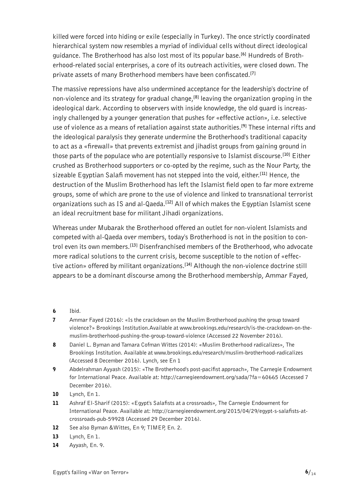killed were forced into hiding or exile (especially in Turkey). The once strictly coordinated hierarchical system now resembles a myriad of individual cells without direct ideological guidance. The Brotherhood has also lost most of its popular base.**[6]** Hundreds of Brotherhood-related social enterprises, a core of its outreach activities, were closed down. The private assets of many Brotherhood members have been confiscated.**[7]**

The massive repressions have also undermined acceptance for the leadership's doctrine of non-violence and its strategy for gradual change,**[8]** leaving the organization groping in the ideological dark. According to observers with inside knowledge, the old guard is increasingly challenged by a younger generation that pushes for «effective action», i.e. selective use of violence as a means of retaliation against state authorities.**[9]** These internal rifts and the ideological paralysis they generate undermine the Brotherhood's traditional capacity to act as a «firewall» that prevents extremist and jihadist groups from gaining ground in those parts of the populace who are potentially responsive to Islamist discourse.**[10]** Either crushed as Brotherhood supporters or co-opted by the regime, such as the Nour Party, the sizeable Egyptian Salafi movement has not stepped into the void, either.**[11]** Hence, the destruction of the Muslim Brotherhood has left the Islamist field open to far more extreme groups, some of which are prone to the use of violence and linked to transnational terrorist organizations such as IS and al-Qaeda.**[12]** All of which makes the Egyptian Islamist scene an ideal recruitment base for militant Jihadi organizations.

Whereas under Mubarak the Brotherhood offered an outlet for non-violent Islamists and competed with al-Qaeda over members, today's Brotherhood is not in the position to control even its own members.**[13]** Disenfranchised members of the Brotherhood, who advocate more radical solutions to the current crisis, become susceptible to the notion of «effective action» offered by militant organizations.**[14]** Although the non-violence doctrine still appears to be a dominant discourse among the Brotherhood membership, Ammar Fayed,

- 6 Ibid.
- 7 Ammar Fayed (2016): «Is the crackdown on the Muslim Brotherhood pushing the group toward violence?» Brookings Institution.Available at [www.brookings.edu/research/is-the-crackdown-on-the](http://www.brookings.edu/research/is-the-crackdown-on-the-muslim-brotherhood-pushing-the-group-toward-violence)[muslim-brotherhood-pushing-the-group-toward-violence](http://www.brookings.edu/research/is-the-crackdown-on-the-muslim-brotherhood-pushing-the-group-toward-violence) (Accessed 22 November 2016).
- 8 Daniel L. Byman and Tamara Cofman Wittes (2014): «Muslim Brotherhood radicalizes», The Brookings Institution. Available at [www.brookings.edu/research/muslim-brotherhood-radicalizes](http://www.brookings.edu/research/muslim-brotherhood-radicalizes) (Accessed 8 December 2016). Lynch, see En 1
- 9 Abdelrahman Ayyash (2015): «The Brotherhood's post-pacifist approach», The Carnegie Endowment for International Peace. Available at: <http://carnegieendowment.org/sada/?fa=60665> (Accessed 7 December 2016).
- 10 Lynch, En 1.
- 11 Ashraf El-Sharif (2015): «Egypt's Salafists at a crossroads», The Carnegie Endowment for International Peace. Available at: [http://carnegieendowment.org/2015/04/29/egypt-s-salafists-at](http://carnegieendowment.org/2015/04/29/egypt-s-salafists-at-crossroads-pub-59928)[crossroads-pub-59928](http://carnegieendowment.org/2015/04/29/egypt-s-salafists-at-crossroads-pub-59928) (Accessed 29 December 2016).
- 12 See also Byman & Wittes, En 9; TIMEP, En. 2.
- 13 Lynch, En 1.
- 14 Ayyash, En. 9.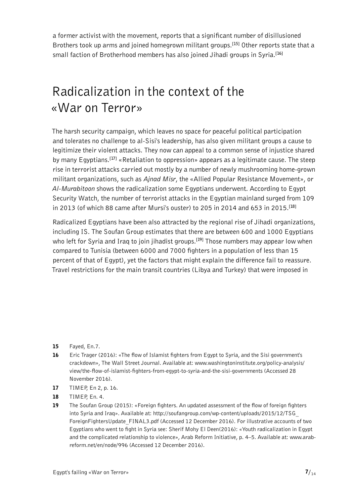<span id="page-6-0"></span>a former activist with the movement, reports that a significant number of disillusioned Brothers took up arms and joined homegrown militant groups.**[15]** Other reports state that a small faction of Brotherhood members has also joined Jihadi groups in Syria.**[16]**

#### Radicalization in the context of the «War on Terror»

The harsh security campaign, which leaves no space for peaceful political participation and tolerates no challenge to al-Sisi's leadership, has also given militant groups a cause to legitimize their violent attacks. They now can appeal to a common sense of injustice shared by many Egyptians.**[17]** «Retaliation to oppression» appears as a legitimate cause. The steep rise in terrorist attacks carried out mostly by a number of newly mushrooming home-grown militant organizations, such as *Ajnad Misr*, the «Allied Popular Resistance Movement», or *Al-Murabitoon* shows the radicalization some Egyptians underwent. According to Egypt Security Watch, the number of terrorist attacks in the Egyptian mainland surged from 109 in 2013 (of which 88 came after Mursi's ouster) to 205 in 2014 and 653 in 2015.**[18]**

Radicalized Egyptians have been also attracted by the regional rise of Jihadi organizations, including IS. The Soufan Group estimates that there are between 600 and 1000 Egyptians who left for Syria and Iraq to join jihadist groups.**[19]** Those numbers may appear low when compared to Tunisia (between 6000 and 7000 fighters in a population of less than 15 percent of that of Egypt), yet the factors that might explain the difference fail to reassure. Travel restrictions for the main transit countries (Libya and Turkey) that were imposed in

- 15 Fayed, En.7.
- 16 Eric Trager (2016): «The flow of Islamist fighters from Egypt to Syria, and the Sisi government's crackdown», The Wall Street Journal. Available at: [www.washingtoninstitute.org/policy-analysis/](http://www.washingtoninstitute.org/policy-analysis/view/the-flow-of-islamist-fighters-from-egypt-to-syria-and-the-sisi-governments) [view/the-flow-of-islamist-fighters-from-egypt-to-syria-and-the-sisi-governments](http://www.washingtoninstitute.org/policy-analysis/view/the-flow-of-islamist-fighters-from-egypt-to-syria-and-the-sisi-governments) (Accessed 28 November 2016).
- 17 TIMEP, En 2, p. 16.
- 18 **TIMEP, En. 4.**
- 19 The Soufan Group (2015): «Foreign fighters. An updated assessment of the flow of foreign fighters into Syria and Iraq». Available at: [http://soufangroup.com/wp-content/uploads/2015/12/TSG\\_](http://soufangroup.com/wp-content/uploads/2015/12/TSG_ForeignFightersUpdate_FINAL3.pdf) [ForeignFightersUpdate\\_FINAL3.pdf](http://soufangroup.com/wp-content/uploads/2015/12/TSG_ForeignFightersUpdate_FINAL3.pdf) (Accessed 12 December 2016). For illustrative accounts of two Egyptians who went to fight in Syria see: Sherif Mohy El Deen(2016): «Youth radicalization in Egypt and the complicated relationship to violence», Arab Reform Initiative, p. 4–5. Available at: [www.arab](http://www.arab-reform.net/en/node/996)[reform.net/en/node/996](http://www.arab-reform.net/en/node/996) (Accessed 12 December 2016).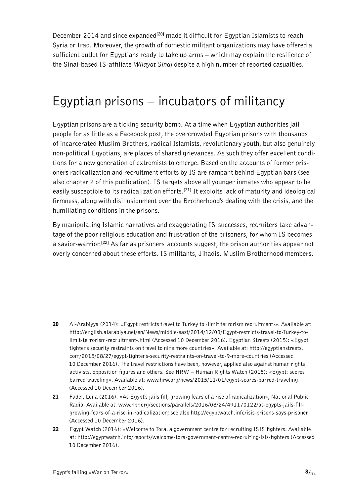<span id="page-7-0"></span>December 2014 and since expanded**[20]** made it difficult for Egyptian Islamists to reach Syria or Iraq. Moreover, the growth of domestic militant organizations may have offered a sufficient outlet for Egyptians ready to take up arms – which may explain the resilience of the Sinai-based IS-affiliate *Wilayat Sinai* despite a high number of reported casualties.

#### Egyptian prisons – incubators of militancy

Egyptian prisons are a ticking security bomb. At a time when Egyptian authorities jail people for as little as a Facebook post, the overcrowded Egyptian prisons with thousands of incarcerated Muslim Brothers, radical Islamists, revolutionary youth, but also genuinely non-political Egyptians, are places of shared grievances. As such they offer excellent conditions for a new generation of extremists to emerge. Based on the accounts of former prisoners radicalization and recruitment efforts by IS are rampant behind Egyptian bars (see also chapter 2 of this publication). IS targets above all younger inmates who appear to be easily susceptible to its radicalization efforts.**[21]** It exploits lack of maturity and ideological firmness, along with disillusionment over the Brotherhood's dealing with the crisis, and the humiliating conditions in the prisons.

By manipulating Islamic narratives and exaggerating IS' successes, recruiters take advantage of the poor religious education and frustration of the prisoners, for whom IS becomes a savior-warrior.**[22]** As far as prisoners' accounts suggest, the prison authorities appear not overly concerned about these efforts. IS militants, Jihadis, Muslim Brotherhood members,

- 20 Al-Arabiyya (2014): «Egypt restricts travel to Turkey to «limit terrorism recruitment». Available at: [http://english.alarabiya.net/en/News/middle-east/2014/12/08/Egypt-restricts-travel-to-Turkey-to](http://english.alarabiya.net/en/News/middle-east/2014/12/08/Egypt-restricts-travel-to-Turkey-to-limit-terrorism-recruitment-.html)[limit-terrorism-recruitment-.html](http://english.alarabiya.net/en/News/middle-east/2014/12/08/Egypt-restricts-travel-to-Turkey-to-limit-terrorism-recruitment-.html) (Accessed 10 December 2016). Egyptian Streets (2015): «Egypt tightens security restraints on travel to nine more countries». Available at: [http://egyptianstreets.](http://egyptianstreets.com/2015/08/27/egypt-tightens-security-restraints-on-travel-to-9-more-countries) [com/2015/08/27/egypt-tightens-security-restraints-on-travel-to-9-more-countries](http://egyptianstreets.com/2015/08/27/egypt-tightens-security-restraints-on-travel-to-9-more-countries) (Accessed 10 December 2016). The travel restrictions have been, however, applied also against human rights activists, opposition figures and others. See HRW – Human Rights Watch (2015): «Egypt: scores barred traveling». Available at: [www.hrw.org/news/2015/11/01/egypt-scores-barred-traveling](http://www.hrw.org/news/2015/11/01/egypt-scores-barred-traveling) (Accessed 10 December 2016).
- 21 Fadel, Leila (2016): «As Egypt's jails fill, growing fears of a rise of radicalization», National Public Radio. Available at: [www.npr.org/sections/parallels/2016/08/24/491170122/as-egypts-jails-fill](http://www.npr.org/sections/parallels/2016/08/24/491170122/as-egypts-jails-fill-growing-fears-of-a-rise-in-radicalization)[growing-fears-of-a-rise-in-radicalization](http://www.npr.org/sections/parallels/2016/08/24/491170122/as-egypts-jails-fill-growing-fears-of-a-rise-in-radicalization); see also <http://egyptwatch.info/isis-prisons-says-prisoner> (Accessed 10 December 2016).
- 22 Egypt Watch (2016): «Welcome to Tora, a government centre for recruiting ISIS fighters. Available at: <http://egyptwatch.info/reports/welcome-tora-government-centre-recruiting-isis-fighters>(Accessed 10 December 2016).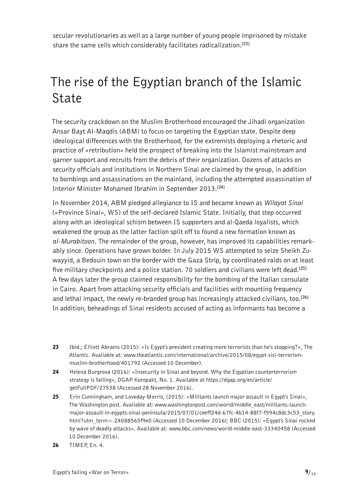<span id="page-8-0"></span>secular revolutionaries as well as a large number of young people imprisoned by mistake share the same cells which considerably facilitates radicalization.**[23]**

### The rise of the Egyptian branch of the Islamic State

The security crackdown on the Muslim Brotherhood encouraged the Jihadi organization Ansar Bayt Al-Maqdis (ABM) to focus on targeting the Egyptian state. Despite deep ideological differences with the Brotherhood, for the extremists deploying a rhetoric and practice of «retribution» held the prospect of breaking into the Islamist mainstream and garner support and recruits from the debris of their organization. Dozens of attacks on security officials and institutions in Northern Sinai are claimed by the group, in addition to bombings and assassinations on the mainland, including the attempted assassination of Interior Minister Mohamed Ibrahim in September 2013.**[24]**

In November 2014, ABM pledged allegiance to IS and became known as *Wilayat Sinai* («Province Sinai», WS) of the self-declared Islamic State. Initially, that step occurred along with an ideological schism between IS supporters and al-Qaeda loyalists, which weakened the group as the latter faction split off to found a new formation known as *al-Murabitoon*. The remainder of the group, however, has improved its capabilities remarkably since. Operations have grown bolder. In July 2015 WS attempted to seize Sheikh Zuwayyid, a Bedouin town on the border with the Gaza Strip, by coordinated raids on at least five military checkpoints and a police station. 70 soldiers and civilians were left dead.**[25]** A few days later the group claimed responsibility for the bombing of the Italian consulate in Cairo. Apart from attacking security officials and facilities with mounting frequency and lethal impact, the newly re-branded group has increasingly attacked civilians, too.**[26]** In addition, beheadings of Sinai residents accused of acting as informants has become a

- 23 Ibid.; Elliott Abrams (2015): «Is Egypt's president creating more terrorists than he's stopping?», The Atlantic. Available at: [www.theatlantic.com/international/archive/2015/08/egypt-sisi-terrorism](http://www.theatlantic.com/international/archive/2015/08/egypt-sisi-terrorism-muslim-brotherhood/401792)[muslim-brotherhood/401792](http://www.theatlantic.com/international/archive/2015/08/egypt-sisi-terrorism-muslim-brotherhood/401792) (Accessed 10 December).
- 24 Helena Burgrova (2016): «Insecurity in Sinai and beyond. Why the Egyptian counterterrorism strategy is failing», DGAP Kompakt, No. 1. Available at [https://dgap.org/en/article/](https://dgap.org/en/article/getFullPDF/27538) [getFullPDF/27538](https://dgap.org/en/article/getFullPDF/27538) (Accessed 28 November 2016).
- 25 Erin Cunningham, and Loveday Morris, (2015): «Militants launch major assault in Egypt's Sinai», The Washington post. Available at: [www.washingtonpost.com/world/middle\\_east/militants-launch](http://www.washingtonpost.com/world/middle_east/militants-launch-major-assault-in-egypts-sinai-peninsula/2015/07/01/ceeff24d-67fc-4b14-88f7-f594c8dc3c53_story.html?utm_term=.24088565f9e0)[major-assault-in-egypts-sinai-peninsula/2015/07/01/ceeff24d-67fc-4b14-88f7-f594c8dc3c53\\_story.](http://www.washingtonpost.com/world/middle_east/militants-launch-major-assault-in-egypts-sinai-peninsula/2015/07/01/ceeff24d-67fc-4b14-88f7-f594c8dc3c53_story.html?utm_term=.24088565f9e0) [html?utm\\_term=.24088565f9e0](http://www.washingtonpost.com/world/middle_east/militants-launch-major-assault-in-egypts-sinai-peninsula/2015/07/01/ceeff24d-67fc-4b14-88f7-f594c8dc3c53_story.html?utm_term=.24088565f9e0) (Accessed 10 December 2016); BBC (2015): «Egypt's Sinai rocked by wave of deadly attacks». Available at: [www.bbc.com/news/world-middle-east-33340458](http://www.bbc.com/news/world-middle-east-33340458) (Accessed 10 December 2016).
- 26 TIMEP, En. 4.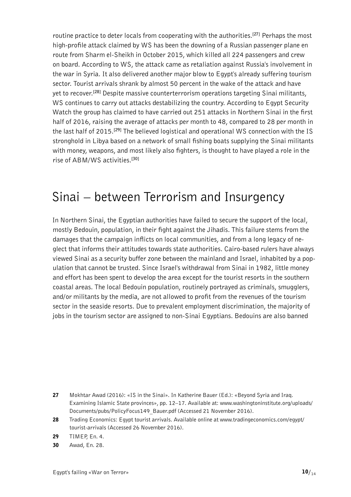<span id="page-9-0"></span>routine practice to deter locals from cooperating with the authorities.**[27]** Perhaps the most high-profile attack claimed by WS has been the downing of a Russian passenger plane en route from Sharm el-Sheikh in October 2015, which killed all 224 passengers and crew on board. According to WS, the attack came as retaliation against Russia's involvement in the war in Syria. It also delivered another major blow to Egypt's already suffering tourism sector. Tourist arrivals shrank by almost 50 percent in the wake of the attack and have yet to recover.**[28]** Despite massive counterterrorism operations targeting Sinai militants, WS continues to carry out attacks destabilizing the country. According to Egypt Security Watch the group has claimed to have carried out 251 attacks in Northern Sinai in the first half of 2016, raising the average of attacks per month to 48, compared to 28 per month in the last half of 2015.**[29]** The believed logistical and operational WS connection with the IS stronghold in Libya based on a network of small fishing boats supplying the Sinai militants with money, weapons, and most likely also fighters, is thought to have played a role in the rise of ABM/WS activities.**[30]**

#### Sinai – between Terrorism and Insurgency

In Northern Sinai, the Egyptian authorities have failed to secure the support of the local, mostly Bedouin, population, in their fight against the Jihadis. This failure stems from the damages that the campaign inflicts on local communities, and from a long legacy of neglect that informs their attitudes towards state authorities. Cairo-based rulers have always viewed Sinai as a security buffer zone between the mainland and Israel, inhabited by a population that cannot be trusted. Since Israel's withdrawal from Sinai in 1982, little money and effort has been spent to develop the area except for the tourist resorts in the southern coastal areas. The local Bedouin population, routinely portrayed as criminals, smugglers, and/or militants by the media, are not allowed to profit from the revenues of the tourism sector in the seaside resorts. Due to prevalent employment discrimination, the majority of jobs in the tourism sector are assigned to non-Sinai Egyptians. Bedouins are also banned

<sup>27</sup> Mokhtar Awad (2016): «IS in the Sinai». In Katherine Bauer (Ed.): «Beyond Syria and Iraq. Examining Islamic State provinces», pp. 12–17. Available at: [www.washingtoninstitute.org/uploads/](http://www.washingtoninstitute.org/uploads/Documents/pubs/PolicyFocus149_Bauer.pdf) [Documents/pubs/PolicyFocus149\\_Bauer.pdf](http://www.washingtoninstitute.org/uploads/Documents/pubs/PolicyFocus149_Bauer.pdf) (Accessed 21 November 2016).

<sup>28</sup> Trading Economics: Egypt tourist arrivals. Available online at [www.tradingeconomics.com/egypt/](http://www.tradingeconomics.com/egypt/tourist-arrivals) [tourist-arrivals](http://www.tradingeconomics.com/egypt/tourist-arrivals) (Accessed 26 November 2016).

<sup>29</sup> TIMEP, En. 4.

<sup>30</sup> Awad, En. 28.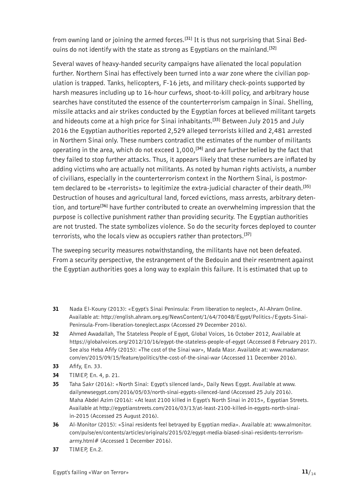from owning land or joining the armed forces.**[31]** It is thus not surprising that Sinai Bedouins do not identify with the state as strong as Egyptians on the mainland.**[32]**

Several waves of heavy-handed security campaigns have alienated the local population further. Northern Sinai has effectively been turned into a war zone where the civilian population is trapped. Tanks, helicopters, F-16 jets, and military check-points supported by harsh measures including up to 16-hour curfews, shoot-to-kill policy, and arbitrary house searches have constituted the essence of the counterterrorism campaign in Sinai. Shelling, missile attacks and air strikes conducted by the Egyptian forces at believed militant targets and hideouts come at a high price for Sinai inhabitants.**[33]** Between July 2015 and July 2016 the Egyptian authorities reported 2,529 alleged terrorists killed and 2,481 arrested in Northern Sinai only. These numbers contradict the estimates of the number of militants operating in the area, which do not exceed 1,000,**[34]** and are further belied by the fact that they failed to stop further attacks. Thus, it appears likely that these numbers are inflated by adding victims who are actually not militants. As noted by human rights activists, a number of civilians, especially in the counterterrorism context in the Northern Sinai, is postmortem declared to be «terrorists» to legitimize the extra-judicial character of their death.**[35]** Destruction of houses and agricultural land, forced evictions, mass arrests, arbitrary detention, and torture**[36]** have further contributed to create an overwhelming impression that the purpose is collective punishment rather than providing security. The Egyptian authorities are not trusted. The state symbolizes violence. So do the security forces deployed to counter terrorists, who the locals view as occupiers rather than protectors.**[37]**

The sweeping security measures notwithstanding, the militants have not been defeated. From a security perspective, the estrangement of the Bedouin and their resentment against the Egyptian authorities goes a long way to explain this failure. It is estimated that up to

- 31 Nada El-Kouny (2013): «Egypt's Sinai Peninsula: From liberation to neglect», Al-Ahram Online. Available at: [http://english.ahram.org.eg/NewsContent/1/64/70048/Egypt/Politics-/Egypts-Sinai-](http://english.ahram.org.eg/NewsContent/1/64/70048/Egypt/Politics-/Egypts-Sinai-Peninsula-From-liberation-toneglect.aspx)[Peninsula-From-liberation-toneglect.aspx](http://english.ahram.org.eg/NewsContent/1/64/70048/Egypt/Politics-/Egypts-Sinai-Peninsula-From-liberation-toneglect.aspx) (Accessed 29 December 2016).
- 32 Ahmed Awadallah, The Stateless People of Egypt, Global Voices, 16 October 2012, Available at <https://globalvoices.org/2012/10/16/egypt-the-stateless-people-of-egypt>(Accessed 8 February 2017). See also Heba Afify (2015): «The cost of the Sinai war», Mada Masr. Available at: [www.madamasr.](http://www.madamasr.com/en/2015/09/15/feature/politics/the-cost-of-the-sinai-war) [com/en/2015/09/15/feature/politics/the-cost-of-the-sinai-war](http://www.madamasr.com/en/2015/09/15/feature/politics/the-cost-of-the-sinai-war) (Accessed 11 December 2016).
- **33** Afify, En. 33.
- 34 TIMEP, En. 4, p. 21.
- 35 Taha Sakr (2016): «North Sinai: Egypt's silenced land», Daily News Egypt. Available at [www.](http://www.dailynewsegypt.com/2016/05/03/north-sinai-egypts-silenced-land) [dailynewsegypt.com/2016/05/03/north-sinai-egypts-silenced-land](http://www.dailynewsegypt.com/2016/05/03/north-sinai-egypts-silenced-land) (Accessed 25 July 2016). Maha Abdel Azim (2016): «At least 2100 killed in Egypt's North Sinai in 2015», Egyptian Streets. Available at [http://egyptianstreets.com/2016/03/13/at-least-2100-killed-in-egypts-north-sinai](http://egyptianstreets.com/2016/03/13/at-least-2100-killed-in-egypts-north-sinai-in-2015)[in-2015](http://egyptianstreets.com/2016/03/13/at-least-2100-killed-in-egypts-north-sinai-in-2015) (Accessed 25 August 2016).
- 36 Al-Monitor (2015): «Sinai residents feel betrayed by Egyptian media». Available at: [www.almonitor.](http://www.almonitor.com/pulse/en/contents/articles/originals/2015/02/egypt-media-biased-sinai-residents-terrorism-army.html#) [com/pulse/en/contents/articles/originals/2015/02/egypt-media-biased-sinai-residents-terrorism](http://www.almonitor.com/pulse/en/contents/articles/originals/2015/02/egypt-media-biased-sinai-residents-terrorism-army.html#)[army.html#](http://www.almonitor.com/pulse/en/contents/articles/originals/2015/02/egypt-media-biased-sinai-residents-terrorism-army.html#) (Accessed 1 December 2016).
- 37 TIMEP, En.2.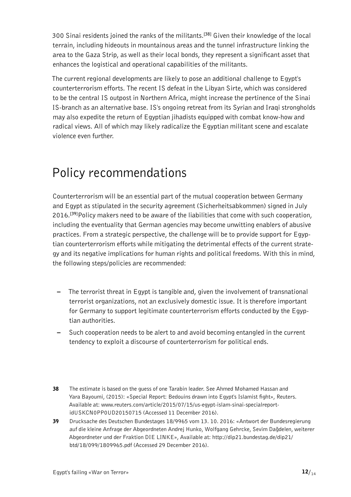<span id="page-11-0"></span>300 Sinai residents joined the ranks of the militants.**[38]** Given their knowledge of the local terrain, including hideouts in mountainous areas and the tunnel infrastructure linking the area to the Gaza Strip, as well as their local bonds, they represent a significant asset that enhances the logistical and operational capabilities of the militants.

The current regional developments are likely to pose an additional challenge to Egypt's counterterrorism efforts. The recent IS defeat in the Libyan Sirte, which was considered to be the central IS outpost in Northern Africa, might increase the pertinence of the Sinai IS-branch as an alternative base. IS's ongoing retreat from its Syrian and Iraqi strongholds may also expedite the return of Egyptian jihadists equipped with combat know-how and radical views. All of which may likely radicalize the Egyptian militant scene and escalate violence even further.

### Policy recommendations

Counterterrorism will be an essential part of the mutual cooperation between Germany and Egypt as stipulated in the security agreement (Sicherheitsabkommen) signed in July 2016.**[39]**Policy makers need to be aware of the liabilities that come with such cooperation, including the eventuality that German agencies may become unwitting enablers of abusive practices. From a strategic perspective, the challenge will be to provide support for Egyptian counterterrorism efforts while mitigating the detrimental effects of the current strategy and its negative implications for human rights and political freedoms. With this in mind, the following steps/policies are recommended:

- The terrorist threat in Egypt is tangible and, given the involvement of transnational terrorist organizations, not an exclusively domestic issue. It is therefore important for Germany to support legitimate counterterrorism efforts conducted by the Egyptian authorities.
- Such cooperation needs to be alert to and avoid becoming entangled in the current tendency to exploit a discourse of counterterrorism for political ends.

39 Drucksache des Deutschen Bundestages 18/9965 vom 13. 10. 2016: «Antwort der Bundesregierung auf die kleine Anfrage der Abgeordneten Andrej Hunko, Wolfgang Gehrcke, Sevim Dağdelen, weiterer Abgeordneter und der Fraktion DIE LINKE», Available at: [http://dip21.bundestag.de/dip21/](http://dip21.bundestag.de/dip21/btd/18/099/1809965.pdf) [btd/18/099/1809965.pdf](http://dip21.bundestag.de/dip21/btd/18/099/1809965.pdf) (Accessed 29 December 2016).

<sup>38</sup> The estimate is based on the guess of one Tarabin leader. See Ahmed Mohamed Hassan and Yara Bayoumi, (2015): «Special Report: Bedouins drawn into Egypt's Islamist fight», Reuters. Available at: [www.reuters.com/article/2015/07/15/us-egypt-islam-sinai-specialreport](http://www.reuters.com/article/2015/07/15/us-egypt-islam-sinai-specialreport-idUSKCN0PP0UD20150715)[idUSKCN0PP0UD20150715](http://www.reuters.com/article/2015/07/15/us-egypt-islam-sinai-specialreport-idUSKCN0PP0UD20150715) (Accessed 11 December 2016).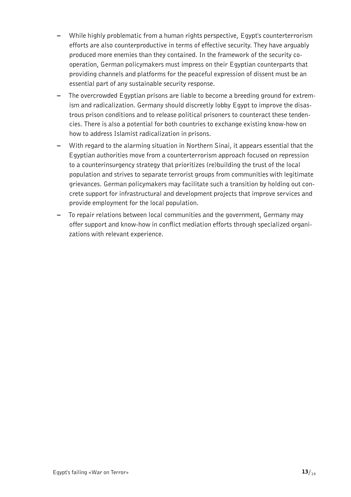- While highly problematic from a human rights perspective, Egypt's counterterrorism efforts are also counterproductive in terms of effective security. They have arguably produced more enemies than they contained. In the framework of the security cooperation, German policymakers must impress on their Egyptian counterparts that providing channels and platforms for the peaceful expression of dissent must be an essential part of any sustainable security response.
- The overcrowded Egyptian prisons are liable to become a breeding ground for extremism and radicalization. Germany should discreetly lobby Egypt to improve the disastrous prison conditions and to release political prisoners to counteract these tendencies. There is also a potential for both countries to exchange existing know-how on how to address Islamist radicalization in prisons.
- With regard to the alarming situation in Northern Sinai, it appears essential that the Egyptian authorities move from a counterterrorism approach focused on repression to a counterinsurgency strategy that prioritizes (re)building the trust of the local population and strives to separate terrorist groups from communities with legitimate grievances. German policymakers may facilitate such a transition by holding out concrete support for infrastructural and development projects that improve services and provide employment for the local population.
- To repair relations between local communities and the government, Germany may offer support and know-how in conflict mediation efforts through specialized organizations with relevant experience.